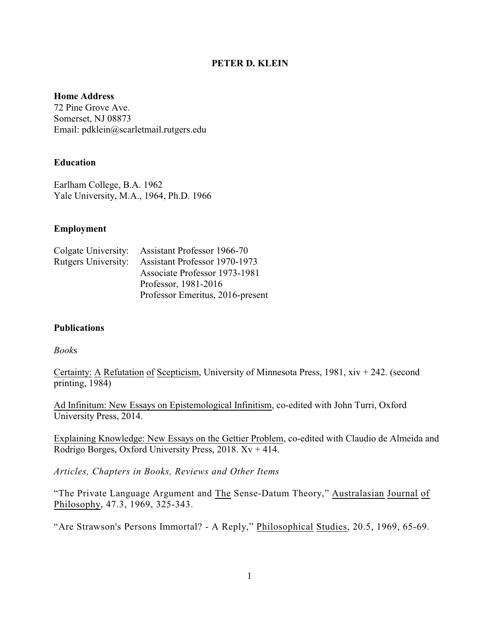# **PETER D. KLEIN**

### **Home Address**

72 Pine Grove Ave. Somerset, NJ 08873 Email: pdklein@scarletmail.rutgers.edu

# **Education**

Earlham College, B.A. 1962 Yale University, M.A., 1964, Ph.D. 1966

### **Employment**

|                            | Colgate University: Assistant Professor 1966-70 |
|----------------------------|-------------------------------------------------|
| <b>Rutgers University:</b> | Assistant Professor 1970-1973                   |
|                            | Associate Professor 1973-1981                   |
|                            | Professor, 1981-2016                            |
|                            | Professor Emeritus, 2016-present                |

### **Publications**

### *Book*s

Certainty: A Refutation of Scepticism, University of Minnesota Press, 1981, xiv + 242. (second printing, 1984)

Ad Infinitum: New Essays on Epistemological Infinitism, co-edited with John Turri, Oxford University Press, 2014.

Explaining Knowledge: New Essays on the Gettier Problem, co-edited with Claudio de Almeida and Rodrigo Borges, Oxford University Press, 2018.  $Xv + 414$ .

*Articles, Chapters in Books, Reviews and Other Items*

"The Private Language Argument and The Sense-Datum Theory," Australasian Journal of Philosophy, 47.3, 1969, 325-343.

"Are Strawson's Persons Immortal? - A Reply," Philosophical Studies, 20.5, 1969, 65-69.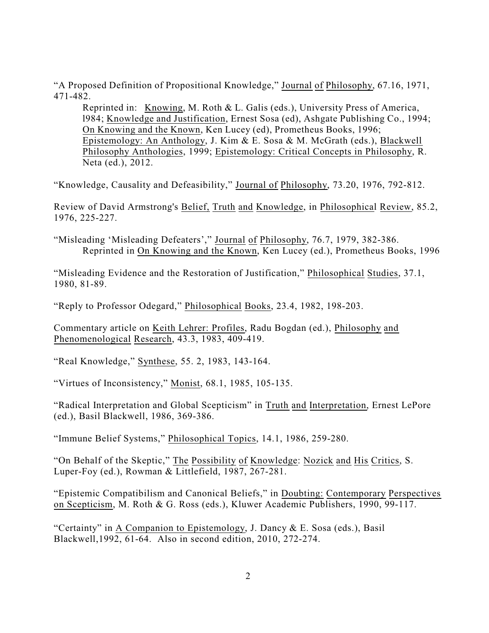"A Proposed Definition of Propositional Knowledge," Journal of Philosophy, 67.16, 1971, 471-482.

Reprinted in: Knowing, M. Roth & L. Galis (eds.), University Press of America, l984; Knowledge and Justification, Ernest Sosa (ed), Ashgate Publishing Co., 1994; On Knowing and the Known, Ken Lucey (ed), Prometheus Books, 1996; Epistemology: An Anthology, J. Kim & E. Sosa & M. McGrath (eds.), Blackwell Philosophy Anthologies, 1999; Epistemology: Critical Concepts in Philosophy, R. Neta (ed.), 2012.

"Knowledge, Causality and Defeasibility," Journal of Philosophy, 73.20, 1976, 792-812.

Review of David Armstrong's Belief, Truth and Knowledge, in Philosophical Review, 85.2, 1976, 225-227.

"Misleading 'Misleading Defeaters'," Journal of Philosophy, 76.7, 1979, 382-386. Reprinted in On Knowing and the Known, Ken Lucey (ed.), Prometheus Books, 1996

"Misleading Evidence and the Restoration of Justification," Philosophical Studies, 37.1, 1980, 81-89.

"Reply to Professor Odegard," Philosophical Books, 23.4, 1982, 198-203.

Commentary article on Keith Lehrer: Profiles, Radu Bogdan (ed.), Philosophy and Phenomenological Research, 43.3, 1983, 409-419.

"Real Knowledge," Synthese, 55. 2, 1983, 143-164.

"Virtues of Inconsistency," Monist, 68.1, 1985, 105-135.

"Radical Interpretation and Global Scepticism" in Truth and Interpretation, Ernest LePore (ed.), Basil Blackwell, 1986, 369-386.

"Immune Belief Systems," Philosophical Topics, 14.1, 1986, 259-280.

"On Behalf of the Skeptic," The Possibility of Knowledge: Nozick and His Critics, S. Luper-Foy (ed.), Rowman & Littlefield, 1987, 267-281.

"Epistemic Compatibilism and Canonical Beliefs," in Doubting: Contemporary Perspectives on Scepticism, M. Roth & G. Ross (eds.), Kluwer Academic Publishers, 1990, 99-117.

"Certainty" in A Companion to Epistemology, J. Dancy & E. Sosa (eds.), Basil Blackwell,1992, 61-64. Also in second edition, 2010, 272-274.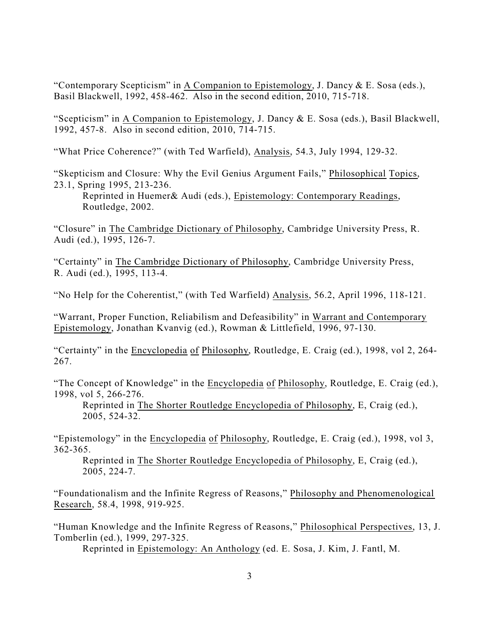"Contemporary Scepticism" in A Companion to Epistemology, J. Dancy  $&\,$  E. Sosa (eds.), Basil Blackwell, 1992, 458-462. Also in the second edition, 2010, 715-718.

"Scepticism" in A Companion to Epistemology, J. Dancy & E. Sosa (eds.), Basil Blackwell, 1992, 457-8. Also in second edition, 2010, 714-715.

"What Price Coherence?" (with Ted Warfield), Analysis, 54.3, July 1994, 129-32.

"Skepticism and Closure: Why the Evil Genius Argument Fails," Philosophical Topics, 23.1, Spring 1995, 213-236.

Reprinted in Huemer& Audi (eds.), Epistemology: Contemporary Readings, Routledge, 2002.

"Closure" in The Cambridge Dictionary of Philosophy, Cambridge University Press, R. Audi (ed.), 1995, 126-7.

"Certainty" in The Cambridge Dictionary of Philosophy, Cambridge University Press, R. Audi (ed.), 1995, 113-4.

"No Help for the Coherentist," (with Ted Warfield) Analysis, 56.2, April 1996, 118-121.

"Warrant, Proper Function, Reliabilism and Defeasibility" in Warrant and Contemporary Epistemology, Jonathan Kvanvig (ed.), Rowman & Littlefield, 1996, 97-130.

"Certainty" in the Encyclopedia of Philosophy, Routledge, E. Craig (ed.), 1998, vol 2, 264- 267.

"The Concept of Knowledge" in the Encyclopedia of Philosophy, Routledge, E. Craig (ed.), 1998, vol 5, 266-276.

Reprinted in The Shorter Routledge Encyclopedia of Philosophy, E, Craig (ed.), 2005, 524-32.

"Epistemology" in the Encyclopedia of Philosophy, Routledge, E. Craig (ed.), 1998, vol 3, 362-365.

Reprinted in The Shorter Routledge Encyclopedia of Philosophy, E, Craig (ed.), 2005, 224-7.

"Foundationalism and the Infinite Regress of Reasons," Philosophy and Phenomenological Research, 58.4, 1998, 919-925.

"Human Knowledge and the Infinite Regress of Reasons," Philosophical Perspectives, 13, J. Tomberlin (ed.), 1999, 297-325.

Reprinted in Epistemology: An Anthology (ed. E. Sosa, J. Kim, J. Fantl, M.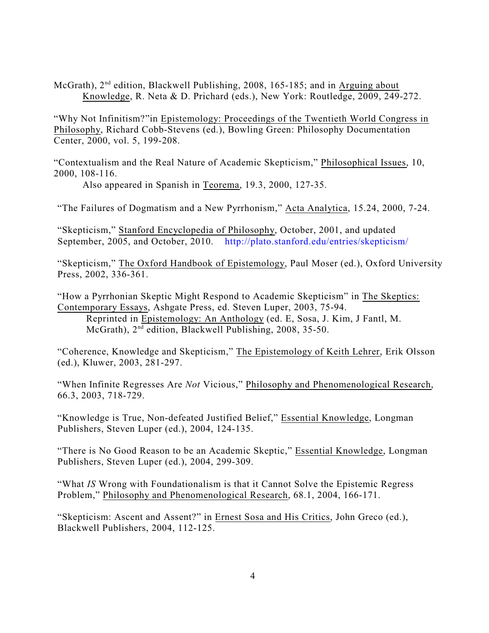McGrath), 2<sup>nd</sup> edition, Blackwell Publishing, 2008, 165-185; and in Arguing about Knowledge, R. Neta & D. Prichard (eds.), New York: Routledge, 2009, 249-272.

"Why Not Infinitism?"in Epistemology: Proceedings of the Twentieth World Congress in Philosophy, Richard Cobb-Stevens (ed.), Bowling Green: Philosophy Documentation Center, 2000, vol. 5, 199-208.

"Contextualism and the Real Nature of Academic Skepticism," Philosophical Issues, 10, 2000, 108-116.

Also appeared in Spanish in Teorema, 19.3, 2000, 127-35.

"The Failures of Dogmatism and a New Pyrrhonism," Acta Analytica, 15.24, 2000, 7-24.

"Skepticism," Stanford Encyclopedia of Philosophy, October, 2001, and updated September, 2005, and October, 2010. <http://plato.stanford.edu/entries/skepticism/>

"Skepticism," The Oxford Handbook of Epistemology, Paul Moser (ed.), Oxford University Press, 2002, 336-361.

"How a Pyrrhonian Skeptic Might Respond to Academic Skepticism" in The Skeptics: Contemporary Essays, Ashgate Press, ed. Steven Luper, 2003, 75-94. Reprinted in Epistemology: An Anthology (ed. E, Sosa, J. Kim, J Fantl, M. McGrath), 2<sup>nd</sup> edition, Blackwell Publishing, 2008, 35-50.

"Coherence, Knowledge and Skepticism," The Epistemology of Keith Lehrer, Erik Olsson (ed.), Kluwer, 2003, 281-297.

"When Infinite Regresses Are *Not* Vicious," Philosophy and Phenomenological Research, 66.3, 2003, 718-729.

"Knowledge is True, Non-defeated Justified Belief," Essential Knowledge, Longman Publishers, Steven Luper (ed.), 2004, 124-135.

"There is No Good Reason to be an Academic Skeptic," Essential Knowledge, Longman Publishers, Steven Luper (ed.), 2004, 299-309.

"What *IS* Wrong with Foundationalism is that it Cannot Solve the Epistemic Regress Problem," Philosophy and Phenomenological Research, 68.1, 2004, 166-171.

"Skepticism: Ascent and Assent?" in Ernest Sosa and His Critics, John Greco (ed.), Blackwell Publishers, 2004, 112-125.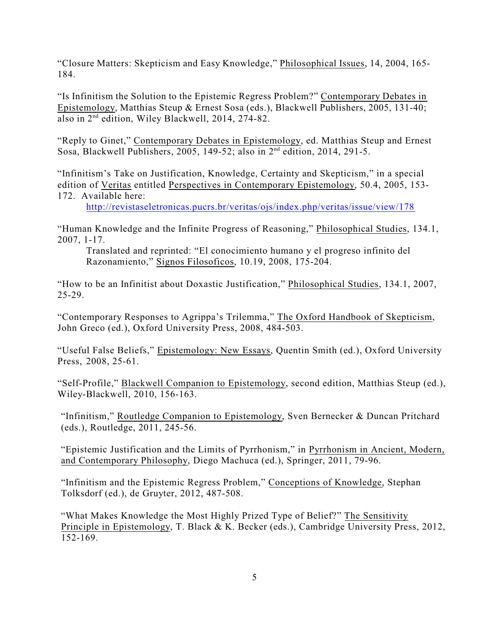"Closure Matters: Skepticism and Easy Knowledge," Philosophical Issues, 14, 2004, 165- 184.

"Is Infinitism the Solution to the Epistemic Regress Problem?" Contemporary Debates in Epistemology, Matthias Steup & Ernest Sosa (eds.), Blackwell Publishers, 2005, 131-40; also in 2nd edition, Wiley Blackwell, 2014, 274-82.

"Reply to Ginet," Contemporary Debates in Epistemology, ed. Matthias Steup and Ernest Sosa, Blackwell Publishers, 2005, 149-52; also in  $2<sup>nd</sup>$  edition, 2014, 291-5.

"Infinitism's Take on Justification, Knowledge, Certainty and Skepticism," in a special edition of Veritas entitled Perspectives in Contemporary Epistemology, 50.4, 2005, 153- 172. Available here:

<http://revistaseletronicas.pucrs.br/veritas/ojs/index.php/veritas/issue/view/178>

"Human Knowledge and the Infinite Progress of Reasoning," Philosophical Studies, 134.1, 2007, 1-17.

Translated and reprinted: "El conocimiento humano y el progreso infinito del Razonamiento," Signos Filosoficos, 10.19, 2008, 175-204.

"How to be an Infinitist about Doxastic Justification," Philosophical Studies, 134.1, 2007, 25-29.

"Contemporary Responses to Agrippa's Trilemma," The Oxford Handbook of Skepticism, John Greco (ed.), Oxford University Press, 2008, 484-503.

"Useful False Beliefs," Epistemology: New Essays, Quentin Smith (ed.), Oxford University Press, 2008, 25-61.

"Self-Profile," Blackwell Companion to Epistemology, second edition, Matthias Steup (ed.), Wiley-Blackwell, 2010, 156-163.

"Infinitism," Routledge Companion to Epistemology, Sven Bernecker & Duncan Pritchard (eds.), Routledge, 2011, 245-56.

"Epistemic Justification and the Limits of Pyrrhonism," in Pyrrhonism in Ancient, Modern, and Contemporary Philosophy, Diego Machuca (ed.), Springer, 2011, 79-96.

"Infinitism and the Epistemic Regress Problem," Conceptions of Knowledge, Stephan Tolksdorf (ed.), de Gruyter, 2012, 487-508.

"What Makes Knowledge the Most Highly Prized Type of Belief?" The Sensitivity Principle in Epistemology, T. Black & K. Becker (eds.), Cambridge University Press, 2012, 152-169.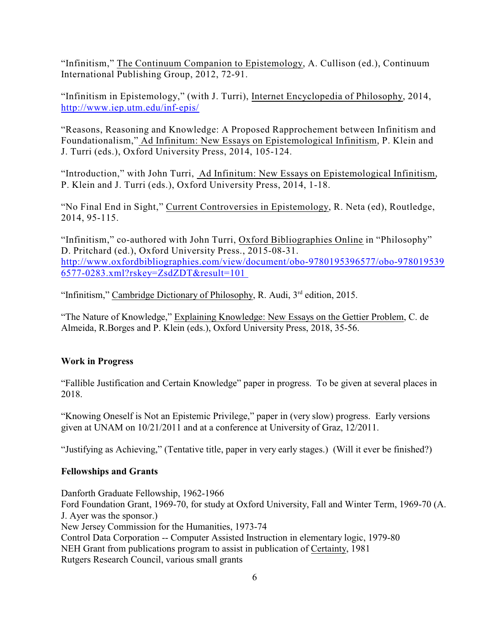"Infinitism," The Continuum Companion to Epistemology, A. Cullison (ed.), Continuum International Publishing Group, 2012, 72-91.

"Infinitism in Epistemology," (with J. Turri), Internet Encyclopedia of Philosophy, 2014, <http://www.iep.utm.edu/inf-epis/>

"Reasons, Reasoning and Knowledge: A Proposed Rapprochement between Infinitism and Foundationalism," Ad Infinitum: New Essays on Epistemological Infinitism, P. Klein and J. Turri (eds.), Oxford University Press, 2014, 105-124.

"Introduction," with John Turri, Ad Infinitum: New Essays on Epistemological Infinitism, P. Klein and J. Turri (eds.), Oxford University Press, 2014, 1-18.

"No Final End in Sight," Current Controversies in Epistemology, R. Neta (ed), Routledge, 2014, 95-115.

"Infinitism," co-authored with John Turri, Oxford Bibliographies Online in "Philosophy" D. Pritchard (ed.), Oxford University Press., 2015-08-31. [http://www.oxfordbibliographies.com/view/document/obo-9780195396577/obo-978019539](http://www.oxfordbibliographies.com/view/document/obo-9780195396577/obo-9780195396577-0283.xml?rskey=ZsdZDT&result=101%20) [6577-0283.xml?rskey=ZsdZDT&result=101](http://www.oxfordbibliographies.com/view/document/obo-9780195396577/obo-9780195396577-0283.xml?rskey=ZsdZDT&result=101%20)

"Infinitism," Cambridge Dictionary of Philosophy, R. Audi, 3<sup>rd</sup> edition, 2015.

"The Nature of Knowledge," Explaining Knowledge: New Essays on the Gettier Problem, C. de Almeida, R.Borges and P. Klein (eds.), Oxford University Press, 2018, 35-56.

### **Work in Progress**

"Fallible Justification and Certain Knowledge" paper in progress. To be given at several places in 2018.

"Knowing Oneself is Not an Epistemic Privilege," paper in (very slow) progress. Early versions given at UNAM on 10/21/2011 and at a conference at University of Graz, 12/2011.

"Justifying as Achieving," (Tentative title, paper in very early stages.) (Will it ever be finished?)

### **Fellowships and Grants**

Danforth Graduate Fellowship, 1962-1966 Ford Foundation Grant, 1969-70, for study at Oxford University, Fall and Winter Term, 1969-70 (A. J. Ayer was the sponsor.) New Jersey Commission for the Humanities, 1973-74 Control Data Corporation -- Computer Assisted Instruction in elementary logic, 1979-80 NEH Grant from publications program to assist in publication of Certainty, 1981 Rutgers Research Council, various small grants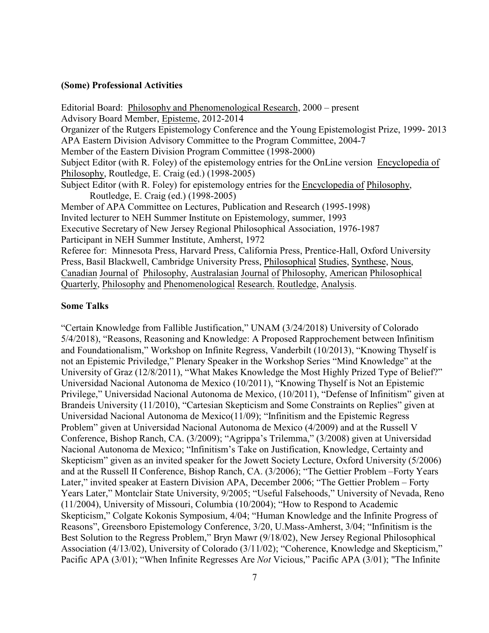#### **(Some) Professional Activities**

Editorial Board: Philosophy and Phenomenological Research, 2000 – present Advisory Board Member, Episteme, 2012-2014 Organizer of the Rutgers Epistemology Conference and the Young Epistemologist Prize, 1999- 2013 APA Eastern Division Advisory Committee to the Program Committee, 2004-7 Member of the Eastern Division Program Committee (1998-2000) Subject Editor (with R. Foley) of the epistemology entries for the OnLine version Encyclopedia of Philosophy, Routledge, E. Craig (ed.) (1998-2005) Subject Editor (with R. Foley) for epistemology entries for the Encyclopedia of Philosophy, Routledge, E. Craig (ed.) (1998-2005) Member of APA Committee on Lectures, Publication and Research (1995-1998) Invited lecturer to NEH Summer Institute on Epistemology, summer, 1993 Executive Secretary of New Jersey Regional Philosophical Association, 1976-1987 Participant in NEH Summer Institute, Amherst, 1972 Referee for: Minnesota Press, Harvard Press, California Press, Prentice-Hall, Oxford University Press, Basil Blackwell, Cambridge University Press, Philosophical Studies, Synthese, Nous, Canadian Journal of Philosophy, Australasian Journal of Philosophy, American Philosophical Quarterly, Philosophy and Phenomenological Research. Routledge, Analysis.

#### **Some Talks**

"Certain Knowledge from Fallible Justification," UNAM (3/24/2018) University of Colorado 5/4/2018), "Reasons, Reasoning and Knowledge: A Proposed Rapprochement between Infinitism and Foundationalism," Workshop on Infinite Regress, Vanderbilt (10/2013), "Knowing Thyself is not an Epistemic Priviledge," Plenary Speaker in the Workshop Series "Mind Knowledge" at the University of Graz (12/8/2011), "What Makes Knowledge the Most Highly Prized Type of Belief?" Universidad Nacional Autonoma de Mexico (10/2011), "Knowing Thyself is Not an Epistemic Privilege," Universidad Nacional Autonoma de Mexico, (10/2011), "Defense of Infinitism" given at Brandeis University (11/2010), "Cartesian Skepticism and Some Constraints on Replies" given at Universidad Nacional Autonoma de Mexico(11/09); "Infinitism and the Epistemic Regress Problem" given at Universidad Nacional Autonoma de Mexico (4/2009) and at the Russell V Conference, Bishop Ranch, CA. (3/2009); "Agrippa's Trilemma," (3/2008) given at Universidad Nacional Autonoma de Mexico; "Infinitism's Take on Justification, Knowledge, Certainty and Skepticism" given as an invited speaker for the Jowett Society Lecture, Oxford University (5/2006) and at the Russell II Conference, Bishop Ranch, CA. (3/2006); "The Gettier Problem –Forty Years Later," invited speaker at Eastern Division APA, December 2006; "The Gettier Problem – Forty Years Later," Montclair State University, 9/2005; "Useful Falsehoods," University of Nevada, Reno (11/2004), University of Missouri, Columbia (10/2004); "How to Respond to Academic Skepticism," Colgate Kokonis Symposium, 4/04; "Human Knowledge and the Infinite Progress of Reasons", Greensboro Epistemology Conference, 3/20, U.Mass-Amherst, 3/04; "Infinitism is the Best Solution to the Regress Problem," Bryn Mawr (9/18/02), New Jersey Regional Philosophical Association (4/13/02), University of Colorado (3/11/02); "Coherence, Knowledge and Skepticism," Pacific APA (3/01); "When Infinite Regresses Are *Not* Vicious," Pacific APA (3/01); "The Infinite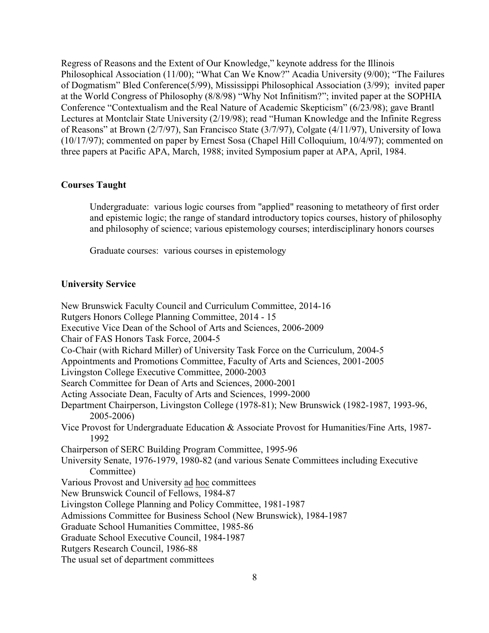Regress of Reasons and the Extent of Our Knowledge," keynote address for the Illinois Philosophical Association (11/00); "What Can We Know?" Acadia University (9/00); "The Failures of Dogmatism" Bled Conference(5/99), Mississippi Philosophical Association (3/99); invited paper at the World Congress of Philosophy (8/8/98) "Why Not Infinitism?"; invited paper at the SOPHIA Conference "Contextualism and the Real Nature of Academic Skepticism" (6/23/98); gave Brantl Lectures at Montclair State University (2/19/98); read "Human Knowledge and the Infinite Regress of Reasons" at Brown (2/7/97), San Francisco State (3/7/97), Colgate (4/11/97), University of Iowa (10/17/97); commented on paper by Ernest Sosa (Chapel Hill Colloquium, 10/4/97); commented on three papers at Pacific APA, March, 1988; invited Symposium paper at APA, April, 1984.

### **Courses Taught**

Undergraduate: various logic courses from "applied" reasoning to metatheory of first order and epistemic logic; the range of standard introductory topics courses, history of philosophy and philosophy of science; various epistemology courses; interdisciplinary honors courses

Graduate courses: various courses in epistemology

#### **University Service**

New Brunswick Faculty Council and Curriculum Committee, 2014-16 Rutgers Honors College Planning Committee, 2014 - 15 Executive Vice Dean of the School of Arts and Sciences, 2006-2009 Chair of FAS Honors Task Force, 2004-5 Co-Chair (with Richard Miller) of University Task Force on the Curriculum, 2004-5 Appointments and Promotions Committee, Faculty of Arts and Sciences, 2001-2005 Livingston College Executive Committee, 2000-2003 Search Committee for Dean of Arts and Sciences, 2000-2001 Acting Associate Dean, Faculty of Arts and Sciences, 1999-2000 Department Chairperson, Livingston College (1978-81); New Brunswick (1982-1987, 1993-96, 2005-2006) Vice Provost for Undergraduate Education & Associate Provost for Humanities/Fine Arts, 1987- 1992 Chairperson of SERC Building Program Committee, 1995-96 University Senate, 1976-1979, 1980-82 (and various Senate Committees including Executive Committee) Various Provost and University ad hoc committees New Brunswick Council of Fellows, 1984-87 Livingston College Planning and Policy Committee, 1981-1987 Admissions Committee for Business School (New Brunswick), 1984-1987 Graduate School Humanities Committee, 1985-86 Graduate School Executive Council, 1984-1987 Rutgers Research Council, 1986-88 The usual set of department committees